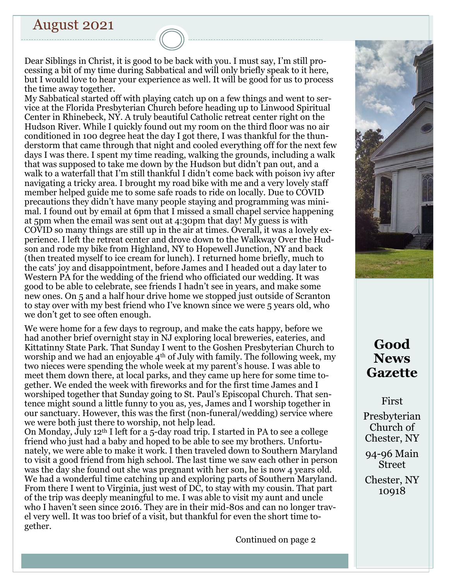# August 2021

Dear Siblings in Christ, it is good to be back with you. I must say, I'm still processing a bit of my time during Sabbatical and will only briefly speak to it here, but I would love to hear your experience as well. It will be good for us to process the time away together.

My Sabbatical started off with playing catch up on a few things and went to service at the Florida Presbyterian Church before heading up to Linwood Spiritual Center in Rhinebeck, NY. A truly beautiful Catholic retreat center right on the Hudson River. While I quickly found out my room on the third floor was no air conditioned in 100 degree heat the day I got there, I was thankful for the thunderstorm that came through that night and cooled everything off for the next few days I was there. I spent my time reading, walking the grounds, including a walk that was supposed to take me down by the Hudson but didn't pan out, and a walk to a waterfall that I'm still thankful I didn't come back with poison ivy after navigating a tricky area. I brought my road bike with me and a very lovely staff member helped guide me to some safe roads to ride on locally. Due to COVID precautions they didn't have many people staying and programming was minimal. I found out by email at 6pm that I missed a small chapel service happening at 5pm when the email was sent out at 4:30pm that day! My guess is with COVID so many things are still up in the air at times. Overall, it was a lovely experience. I left the retreat center and drove down to the Walkway Over the Hudson and rode my bike from Highland, NY to Hopewell Junction, NY and back (then treated myself to ice cream for lunch). I returned home briefly, much to the cats' joy and disappointment, before James and I headed out a day later to Western PA for the wedding of the friend who officiated our wedding. It was good to be able to celebrate, see friends I hadn't see in years, and make some new ones. On 5 and a half hour drive home we stopped just outside of Scranton to stay over with my best friend who I've known since we were 5 years old, who we don't get to see often enough.

We were home for a few days to regroup, and make the cats happy, before we had another brief overnight stay in NJ exploring local breweries, eateries, and Kittatinny State Park. That Sunday I went to the Goshen Presbyterian Church to worship and we had an enjoyable  $4<sup>th</sup>$  of July with family. The following week, my two nieces were spending the whole week at my parent's house. I was able to meet them down there, at local parks, and they came up here for some time together. We ended the week with fireworks and for the first time James and I worshiped together that Sunday going to St. Paul's Episcopal Church. That sentence might sound a little funny to you as, yes, James and I worship together in our sanctuary. However, this was the first (non-funeral/wedding) service where we were both just there to worship, not help lead.

On Monday, July 12th I left for a 5-day road trip. I started in PA to see a college friend who just had a baby and hoped to be able to see my brothers. Unfortunately, we were able to make it work. I then traveled down to Southern Maryland to visit a good friend from high school. The last time we saw each other in person was the day she found out she was pregnant with her son, he is now 4 years old. We had a wonderful time catching up and exploring parts of Southern Maryland. From there I went to Virginia, just west of DC, to stay with my cousin. That part of the trip was deeply meaningful to me. I was able to visit my aunt and uncle who I haven't seen since 2016. They are in their mid-80s and can no longer travel very well. It was too brief of a visit, but thankful for even the short time together.

Continued on page 2



# **Good News Gazette**

First

Presbyterian Church of Chester, NY

94-96 Main Street

Chester, NY 10918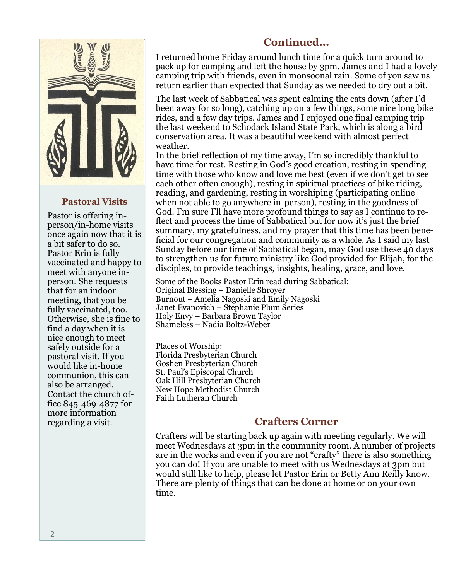

### **Pastoral Visits**

Pastor is offering inperson/in-home visits once again now that it is a bit safer to do so. Pastor Erin is fully vaccinated and happy to meet with anyone inperson. She requests that for an indoor meeting, that you be fully vaccinated, too. Otherwise, she is fine to find a day when it is nice enough to meet safely outside for a pastoral visit. If you would like in-home communion, this can also be arranged. Contact the church office 845-469-4877 for more information regarding a visit.

## **Continued...**

I returned home Friday around lunch time for a quick turn around to pack up for camping and left the house by 3pm. James and I had a lovely camping trip with friends, even in monsoonal rain. Some of you saw us return earlier than expected that Sunday as we needed to dry out a bit.

The last week of Sabbatical was spent calming the cats down (after I'd been away for so long), catching up on a few things, some nice long bike rides, and a few day trips. James and I enjoyed one final camping trip the last weekend to Schodack Island State Park, which is along a bird conservation area. It was a beautiful weekend with almost perfect weather.

In the brief reflection of my time away, I'm so incredibly thankful to have time for rest. Resting in God's good creation, resting in spending time with those who know and love me best (even if we don't get to see each other often enough), resting in spiritual practices of bike riding, reading, and gardening, resting in worshiping (participating online when not able to go anywhere in-person), resting in the goodness of God. I'm sure I'll have more profound things to say as I continue to reflect and process the time of Sabbatical but for now it's just the brief summary, my gratefulness, and my prayer that this time has been beneficial for our congregation and community as a whole. As I said my last Sunday before our time of Sabbatical began, may God use these 40 days to strengthen us for future ministry like God provided for Elijah, for the disciples, to provide teachings, insights, healing, grace, and love.

Some of the Books Pastor Erin read during Sabbatical: Original Blessing – Danielle Shroyer Burnout – Amelia Nagoski and Emily Nagoski Janet Evanovich – Stephanie Plum Series Holy Envy – Barbara Brown Taylor Shameless – Nadia Boltz-Weber

Places of Worship: Florida Presbyterian Church Goshen Presbyterian Church St. Paul's Episcopal Church Oak Hill Presbyterian Church New Hope Methodist Church Faith Lutheran Church

## **Crafters Corner**

Crafters will be starting back up again with meeting regularly. We will meet Wednesdays at 3pm in the community room. A number of projects are in the works and even if you are not "crafty" there is also something you can do! If you are unable to meet with us Wednesdays at 3pm but would still like to help, please let Pastor Erin or Betty Ann Reilly know. There are plenty of things that can be done at home or on your own time.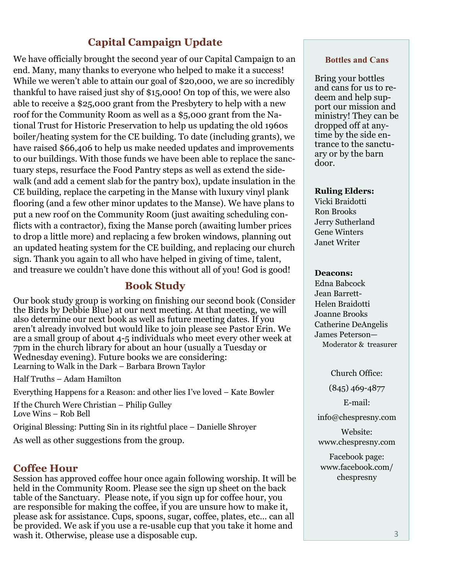# **Capital Campaign Update**

We have officially brought the second year of our Capital Campaign to an end. Many, many thanks to everyone who helped to make it a success! While we weren't able to attain our goal of \$20,000, we are so incredibly thankful to have raised just shy of \$15,000! On top of this, we were also able to receive a \$25,000 grant from the Presbytery to help with a new roof for the Community Room as well as a \$5,000 grant from the National Trust for Historic Preservation to help us updating the old 1960s boiler/heating system for the CE building. To date (including grants), we have raised \$66,406 to help us make needed updates and improvements to our buildings. With those funds we have been able to replace the sanctuary steps, resurface the Food Pantry steps as well as extend the sidewalk (and add a cement slab for the pantry box), update insulation in the CE building, replace the carpeting in the Manse with luxury vinyl plank flooring (and a few other minor updates to the Manse). We have plans to put a new roof on the Community Room (just awaiting scheduling conflicts with a contractor), fixing the Manse porch (awaiting lumber prices to drop a little more) and replacing a few broken windows, planning out an updated heating system for the CE building, and replacing our church sign. Thank you again to all who have helped in giving of time, talent, and treasure we couldn't have done this without all of you! God is good!

### **Book Study**

Our book study group is working on finishing our second book (Consider the Birds by Debbie Blue) at our next meeting. At that meeting, we will also determine our next book as well as future meeting dates. If you aren't already involved but would like to join please see Pastor Erin. We are a small group of about 4-5 individuals who meet every other week at 7pm in the church library for about an hour (usually a Tuesday or Wednesday evening). Future books we are considering: Learning to Walk in the Dark – Barbara Brown Taylor

Half Truths – Adam Hamilton

Everything Happens for a Reason: and other lies I've loved – Kate Bowler

If the Church Were Christian – Philip Gulley Love Wins – Rob Bell

Original Blessing: Putting Sin in its rightful place – Danielle Shroyer

As well as other suggestions from the group.

### **Coffee Hour**

Session has approved coffee hour once again following worship. It will be held in the Community Room. Please see the sign up sheet on the back table of the Sanctuary. Please note, if you sign up for coffee hour, you are responsible for making the coffee, if you are unsure how to make it, please ask for assistance. Cups, spoons, sugar, coffee, plates, etc… can all be provided. We ask if you use a re-usable cup that you take it home and wash it. Otherwise, please use a disposable cup.

#### **Bottles and Cans**

Bring your bottles and cans for us to redeem and help support our mission and ministry! They can be dropped off at anytime by the side entrance to the sanctuary or by the barn door.

#### **Ruling Elders:**

Vicki Braidotti Ron Brooks Jerry Sutherland Gene Winters Janet Writer

#### **Deacons:**

Edna Babcock Jean Barrett-Helen Braidotti Joanne Brooks Catherine DeAngelis James Peterson— Moderator & treasurer

Church Office:

(845) 469-4877

E-mail:

info@chespresny.com

Website: www.chespresny.com

Facebook page: www.facebook.com/ chespresny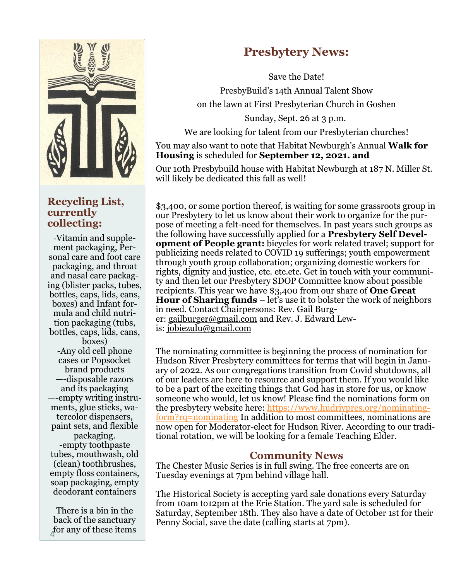

### **Recycling List, currently collecting:**

-Vitamin and supplement packaging, Personal care and foot care packaging, and throat and nasal care packaging (blister packs, tubes, bottles, caps, lids, cans, boxes) and Infant formula and child nutrition packaging (tubs, bottles, caps, lids, cans, boxes) -Any old cell phone cases or Popsocket brand products —-disposable razors and its packaging —-empty writing instruments, glue sticks, watercolor dispensers, paint sets, and flexible packaging. -empty toothpaste tubes, mouthwash, old (clean) toothbrushes, empty floss containers, soap packaging, empty deodorant containers

There is a bin in the back of the sanctuary for any of these items

# **Presbytery News:**

Save the Date! PresbyBuild's 14th Annual Talent Show on the lawn at First Presbyterian Church in Goshen

Sunday, Sept. 26 at 3 p.m.

We are looking for talent from our Presbyterian churches!

You may also want to note that Habitat Newburgh's Annual **Walk for Housing** is scheduled for **September 12, 2021. and**

Our 10th Presbybuild house with Habitat Newburgh at 187 N. Miller St. will likely be dedicated this fall as well!

\$3,400, or some portion thereof, is waiting for some grassroots group in our Presbytery to let us know about their work to organize for the purpose of meeting a felt-need for themselves. In past years such groups as the following have successfully applied for a **Presbytery Self Development of People grant:** bicycles for work related travel; support for publicizing needs related to COVID 19 sufferings; youth empowerment through youth group collaboration; organizing domestic workers for rights, dignity and justice, etc. etc.etc. Get in touch with your community and then let our Presbytery SDOP Committee know about possible recipients. This year we have \$3,400 from our share of **One Great Hour of Sharing funds** – let's use it to bolster the work of neighbors in need. Contact Chairpersons: Rev. Gail Burger: [gailburger@gmail.com](mailto:gailburger@gmail.com) and Rev. J. Edward Lewis: [jobiezulu@gmail.com](mailto:jobiezulu@gmail.com)

The nominating committee is beginning the process of nomination for Hudson River Presbytery committees for terms that will begin in January of 2022. As our congregations transition from Covid shutdowns, all of our leaders are here to resource and support them. If you would like to be a part of the exciting things that God has in store for us, or know someone who would, let us know! Please find the nominations form on the presbytery website here: [https://www.hudrivpres.org/nominating](https://r20.rs6.net/tn.jsp?f=001YMtBd1sDxKOCDUDvGc72pz-Uj9DZsb3GElLAR3G0XwVx_8YtYRHgGQ58y9StryF3zmb_B2zRwNv7v1chZ1SP2n2BK_oGsLJ4jC_YILJzuF8DRy7YQCNBrYwFzHeRJUNeNdVoo80aIYZYof2JB6h3lmImNDhqgL4m-FvFkTky62Iscf6GInk_UGK8QWmlRvEo&c=uBTd60lMZSC0yPG_3tG-NPxkUMArlNpI)[form?rq=nominating](https://r20.rs6.net/tn.jsp?f=001YMtBd1sDxKOCDUDvGc72pz-Uj9DZsb3GElLAR3G0XwVx_8YtYRHgGQ58y9StryF3zmb_B2zRwNv7v1chZ1SP2n2BK_oGsLJ4jC_YILJzuF8DRy7YQCNBrYwFzHeRJUNeNdVoo80aIYZYof2JB6h3lmImNDhqgL4m-FvFkTky62Iscf6GInk_UGK8QWmlRvEo&c=uBTd60lMZSC0yPG_3tG-NPxkUMArlNpI) In addition to most committees, nominations are now open for Moderator-elect for Hudson River. According to our traditional rotation, we will be looking for a female Teaching Elder.

### **Community News**

The Chester Music Series is in full swing. The free concerts are on Tuesday evenings at 7pm behind village hall.

The Historical Society is accepting yard sale donations every Saturday from 10am to12pm at the Erie Station. The yard sale is scheduled for Saturday, September 18th. They also have a date of October 1st for their Penny Social, save the date (calling starts at 7pm).